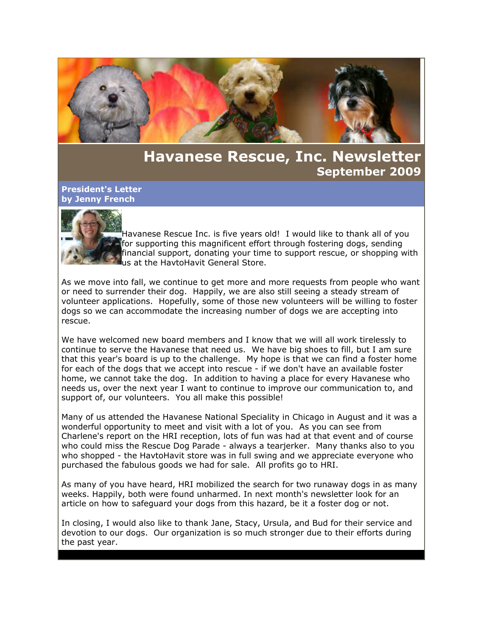

# **Havanese Rescue, Inc. Newsletter September 2009**

### **President's Letter by Jenny French**



Havanese Rescue Inc. is five years old! I would like to thank all of you for supporting this magnificent effort through fostering dogs, sending financial support, donating your time to support rescue, or shopping with us at the HavtoHavit General Store.

As we move into fall, we continue to get more and more requests from people who want or need to surrender their dog. Happily, we are also still seeing a steady stream of volunteer applications. Hopefully, some of those new volunteers will be willing to foster dogs so we can accommodate the increasing number of dogs we are accepting into rescue.

We have welcomed new board members and I know that we will all work tirelessly to continue to serve the Havanese that need us. We have big shoes to fill, but I am sure that this year's board is up to the challenge. My hope is that we can find a foster home for each of the dogs that we accept into rescue - if we don't have an available foster home, we cannot take the dog. In addition to having a place for every Havanese who needs us, over the next year I want to continue to improve our communication to, and support of, our volunteers. You all make this possible!

Many of us attended the Havanese National Speciality in Chicago in August and it was a wonderful opportunity to meet and visit with a lot of you. As you can see from Charlene's report on the HRI reception, lots of fun was had at that event and of course who could miss the Rescue Dog Parade - always a tearjerker. Many thanks also to you who shopped - the HavtoHavit store was in full swing and we appreciate everyone who purchased the fabulous goods we had for sale. All profits go to HRI.

As many of you have heard, HRI mobilized the search for two runaway dogs in as many weeks. Happily, both were found unharmed. In next month's newsletter look for an article on how to safeguard your dogs from this hazard, be it a foster dog or not.

In closing, I would also like to thank Jane, Stacy, Ursula, and Bud for their service and devotion to our dogs. Our organization is so much stronger due to their efforts during the past year.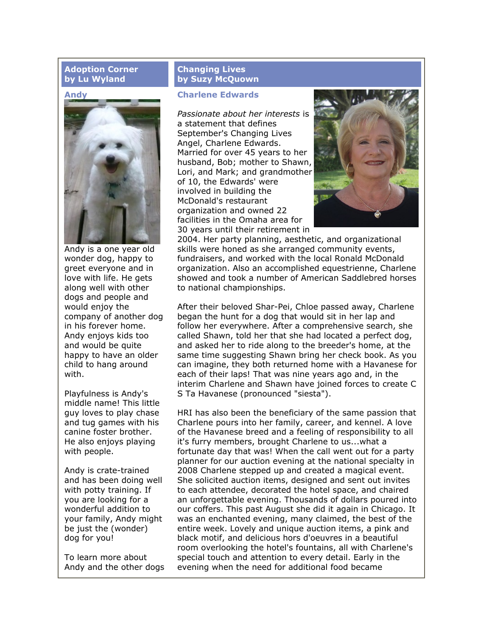# **Adoption Corner by Lu Wyland**

#### **Andy**



Andy is a one year old wonder dog, happy to greet everyone and in love with life. He gets along well with other dogs and people and would enjoy the company of another dog in his forever home. Andy enjoys kids too and would be quite happy to have an older child to hang around with.

Playfulness is Andy's middle name! This little guy loves to play chase and tug games with his canine foster brother. He also enjoys playing with people.

Andy is crate-trained and has been doing well with potty training. If you are looking for a wonderful addition to your family, Andy might be just the (wonder) dog for you!

To learn more about Andy and the other dogs

# **Changing Lives by Suzy McQuown**

# **Charlene Edwards**

*Passionate about her interests* is a statement that defines September's Changing Lives Angel, Charlene Edwards. Married for over 45 years to her husband, Bob; mother to Shawn, Lori, and Mark; and grandmother of 10, the Edwards' were involved in building the McDonald's restaurant organization and owned 22 facilities in the Omaha area for 30 years until their retirement in



2004. Her party planning, aesthetic, and organizational skills were honed as she arranged community events, fundraisers, and worked with the local Ronald McDonald organization. Also an accomplished equestrienne, Charlene showed and took a number of American Saddlebred horses to national championships.

After their beloved Shar-Pei, Chloe passed away, Charlene began the hunt for a dog that would sit in her lap and follow her everywhere. After a comprehensive search, she called Shawn, told her that she had located a perfect dog, and asked her to ride along to the breeder's home, at the same time suggesting Shawn bring her check book. As you can imagine, they both returned home with a Havanese for each of their laps! That was nine years ago and, in the interim Charlene and Shawn have joined forces to create C S Ta Havanese (pronounced "siesta").

HRI has also been the beneficiary of the same passion that Charlene pours into her family, career, and kennel. A love of the Havanese breed and a feeling of responsibility to all it's furry members, brought Charlene to us...what a fortunate day that was! When the call went out for a party planner for our auction evening at the national specialty in 2008 Charlene stepped up and created a magical event. She solicited auction items, designed and sent out invites to each attendee, decorated the hotel space, and chaired an unforgettable evening. Thousands of dollars poured into our coffers. This past August she did it again in Chicago. It was an enchanted evening, many claimed, the best of the entire week. Lovely and unique auction items, a pink and black motif, and delicious hors d'oeuvres in a beautiful room overlooking the hotel's fountains, all with Charlene's special touch and attention to every detail. Early in the evening when the need for additional food became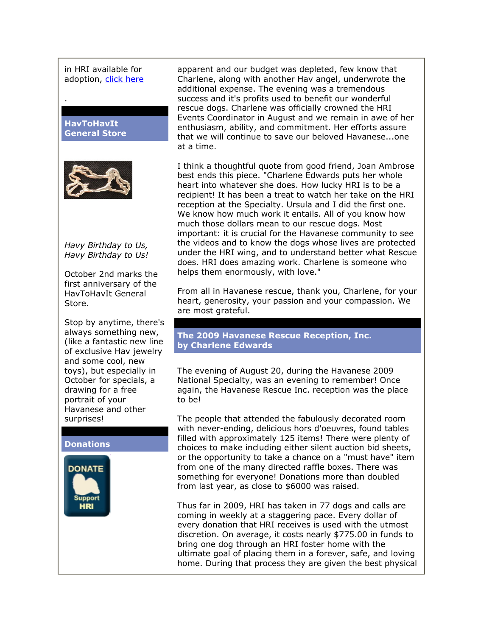in HRI available for adoption, [click here](http://rs6.net/tn.jsp?t=6i5dp4cab.0.0.crkrqxcab.0&p=http%3A%2F%2Fhavaneserescue.com%2Findex.php%3Foption%3Dcom_content%26view%3Darticle%26id%3D422%3Aandy-in-indiana%26catid%3D36%26Itemid%3D159&id=preview)

**HavToHavIt General Store**

.



*Havy Birthday to Us, Havy Birthday to Us!*

October 2nd marks the first anniversary of the HavToHavIt General Store.

Stop by anytime, there's always something new, (like a fantastic new line of exclusive Hav jewelry and some cool, new toys), but especially in October for specials, a drawing for a free portrait of your Havanese and other surprises!

#### **Donations**



apparent and our budget was depleted, few know that Charlene, along with another Hav angel, underwrote the additional expense. The evening was a tremendous success and it's profits used to benefit our wonderful rescue dogs. Charlene was officially crowned the HRI Events Coordinator in August and we remain in awe of her enthusiasm, ability, and commitment. Her efforts assure that we will continue to save our beloved Havanese...one at a time.

I think a thoughtful quote from good friend, Joan Ambrose best ends this piece. "Charlene Edwards puts her whole heart into whatever she does. How lucky HRI is to be a recipient! It has been a treat to watch her take on the HRI reception at the Specialty. Ursula and I did the first one. We know how much work it entails. All of you know how much those dollars mean to our rescue dogs. Most important: it is crucial for the Havanese community to see the videos and to know the dogs whose lives are protected under the HRI wing, and to understand better what Rescue does. HRI does amazing work. Charlene is someone who helps them enormously, with love."

From all in Havanese rescue, thank you, Charlene, for your heart, generosity, your passion and your compassion. We are most grateful.

#### **The 2009 Havanese Rescue Reception, Inc. by Charlene Edwards**

The evening of August 20, during the Havanese 2009 National Specialty, was an evening to remember! Once again, the Havanese Rescue Inc. reception was the place to be!

The people that attended the fabulously decorated room with never-ending, delicious hors d'oeuvres, found tables filled with approximately 125 items! There were plenty of choices to make including either silent auction bid sheets, or the opportunity to take a chance on a "must have" item from one of the many directed raffle boxes. There was something for everyone! Donations more than doubled from last year, as close to \$6000 was raised.

Thus far in 2009, HRI has taken in 77 dogs and calls are coming in weekly at a staggering pace. Every dollar of every donation that HRI receives is used with the utmost discretion. On average, it costs nearly \$775.00 in funds to bring one dog through an HRI foster home with the ultimate goal of placing them in a forever, safe, and loving home. During that process they are given the best physical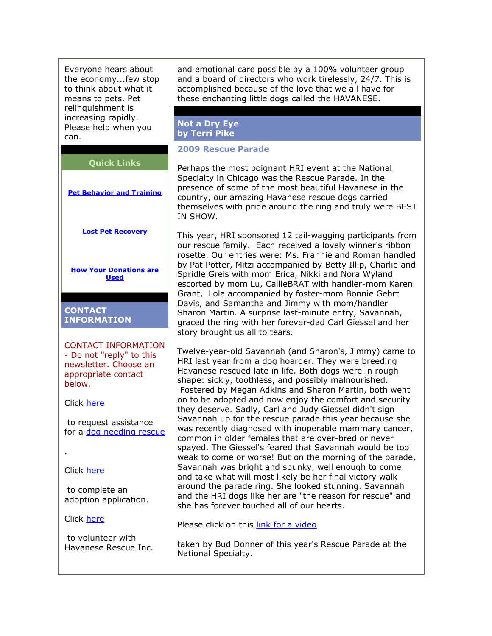Everyone hears about the economy...few stop to think about what it means to pets. Pet relinguishment is increasing rapidly. Please help when you can.

**Quick Links**

**[Pet Behavior and Training](http://rs6.net/tn.jsp?t=6i5dp4cab.0.0.crkrqxcab.0&p=http%3A%2F%2Fhavaneserescue.com%2Findex.php%3Foption%3Dcom_weblinks%26view%3Dcategories%26Itemid%3D200029&id=preview)**

**[Lost Pet Recovery](http://rs6.net/tn.jsp?t=6i5dp4cab.0.0.crkrqxcab.0&p=http%3A%2F%2Fhavaneserescue.com%2Findex.php%3Foption%3Dcom_content%26view%3Darticle%26id%3D86%3Alost-pet-recovery-resources%26catid%3D28%3Aamos-alert-info%26Itemid%3D134&id=preview)**

**[How Your Donations are](http://rs6.net/tn.jsp?t=6i5dp4cab.0.0.crkrqxcab.0&p=http%3A%2F%2Fwww.havaneserescue.com%2Findex.php%3Foption%3Dcom_content%26view%3Darticle%26id%3D225%3Ahow-your-donations-are-used%26catid%3D15%3Aheroes-de-los-havanese%26Itemid%3D173&id=preview) [Used](http://rs6.net/tn.jsp?t=6i5dp4cab.0.0.crkrqxcab.0&p=http%3A%2F%2Fwww.havaneserescue.com%2Findex.php%3Foption%3Dcom_content%26view%3Darticle%26id%3D225%3Ahow-your-donations-are-used%26catid%3D15%3Aheroes-de-los-havanese%26Itemid%3D173&id=preview)**

**CONTACT INFORMATION**

CONTACT INFORMATION - Do not "reply" to this newsletter. Choose an appropriate contact below.

Click [here](http://rs6.net/tn.jsp?t=6i5dp4cab.0.0.crkrqxcab.0&p=http%3A%2F%2Fwww.havaneserescue.com%2Fassistance.html&id=preview)

to request assistance for a [dog needing rescue](http://rs6.net/tn.jsp?t=6i5dp4cab.0.0.crkrqxcab.0&p=http%3A%2F%2Fwww.havaneserescue.com%2Fassistance.html&id=preview)

.

Click [here](http://rs6.net/tn.jsp?t=6i5dp4cab.0.0.crkrqxcab.0&p=http%3A%2F%2Fwww.havaneserescue.com%2Fadoptapp.html&id=preview)

to complete an adoption application.

Click [here](http://rs6.net/tn.jsp?t=6i5dp4cab.0.0.crkrqxcab.0&p=http%3A%2F%2Fwww.havaneserescue.com%2Findex.php%3Foption%3Dcom_comprofiler%26task%3Dregisters&id=preview)

to volunteer with Havanese Rescue Inc. and emotional care possible by a 100% volunteer group and a board of directors who work tirelessly, 24/7. This is accomplished because of the love that we all have for these enchanting little dogs called the HAVANESE.

#### **Not a Dry Eye by Terri Pike**

# **2009 Rescue Parade**

Perhaps the most poignant HRI event at the National Specialty in Chicago was the Rescue Parade. In the presence of some of the most beautiful Havanese in the country, our amazing Havanese rescue dogs carried themselves with pride around the ring and truly were BEST IN SHOW.

This year, HRI sponsored 12 tail-wagging participants from our rescue family. Each received a lovely winner's ribbon rosette. Our entries were: Ms. Frannie and Roman handled by Pat Potter, Mitzi accompanied by Betty Illip, Charlie and Spridle Greis with mom Erica, Nikki and Nora Wyland escorted by mom Lu, CallieBRAT with handler-mom Karen Grant, Lola accompanied by foster-mom Bonnie Gehrt Davis, and Samantha and Jimmy with mom/handler Sharon Martin. A surprise last-minute entry, Savannah, graced the ring with her forever-dad Carl Giessel and her story brought us all to tears.

Twelve-year-old Savannah (and Sharon's, Jimmy) came to HRI last year from a dog hoarder. They were breeding Havanese rescued late in life. Both dogs were in rough shape: sickly, toothless, and possibly malnourished. Fostered by Megan Adkins and Sharon Martin, both went on to be adopted and now enjoy the comfort and security they deserve. Sadly, Carl and Judy Giessel didn't sign Savannah up for the rescue parade this year because she was recently diagnosed with inoperable mammary cancer, common in older females that are over-bred or never spayed. The Giessel's feared that Savannah would be too weak to come or worse! But on the morning of the parade, Savannah was bright and spunky, well enough to come and take what will most likely be her final victory walk around the parade ring. She looked stunning. Savannah and the HRI dogs like her are "the reason for rescue" and she has forever touched all of our hearts.

Please click on this [link for a video](http://rs6.net/tn.jsp?t=6i5dp4cab.0.0.crkrqxcab.0&p=http%3A%2F%2Fvimeo.com%2F6631895&id=preview)

taken by Bud Donner of this year's Rescue Parade at the National Specialty.